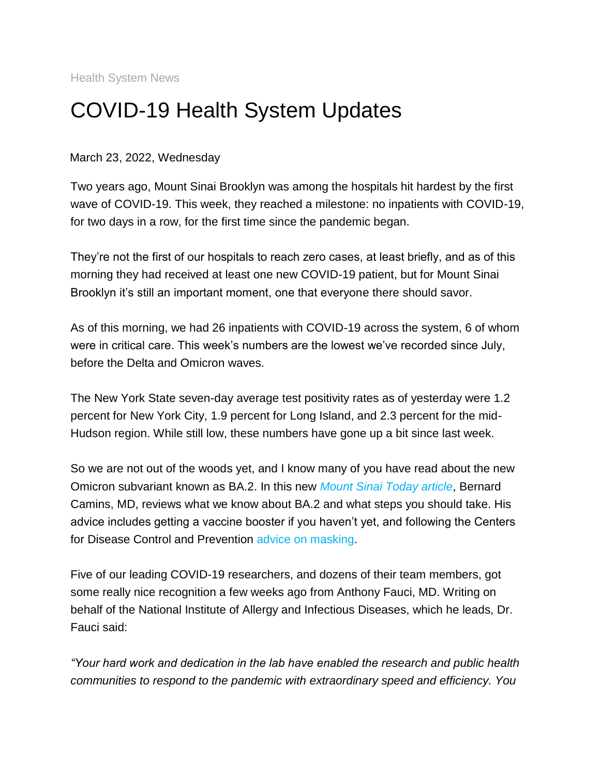Health System News

## COVID-19 Health System Updates

March 23, 2022, Wednesday

Two years ago, Mount Sinai Brooklyn was among the hospitals hit hardest by the first wave of COVID-19. This week, they reached a milestone: no inpatients with COVID-19, for two days in a row, for the first time since the pandemic began.

They're not the first of our hospitals to reach zero cases, at least briefly, and as of this morning they had received at least one new COVID-19 patient, but for Mount Sinai Brooklyn it's still an important moment, one that everyone there should savor.

As of this morning, we had 26 inpatients with COVID-19 across the system, 6 of whom were in critical care. This week's numbers are the lowest we've recorded since July, before the Delta and Omicron waves.

The New York State seven-day average test positivity rates as of yesterday were 1.2 percent for New York City, 1.9 percent for Long Island, and 2.3 percent for the mid-Hudson region. While still low, these numbers have gone up a bit since last week.

So we are not out of the woods yet, and I know many of you have read about the new Omicron subvariant known as BA.2. In this new *[Mount Sinai Today article](https://s2.bl-1.com/h/dpQrBp8k?url=https://health.mountsinai.org/blog/what-is-the-omicron-subvariant-and-why-does-it-matter/)*, Bernard Camins, MD, reviews what we know about BA.2 and what steps you should take. His advice includes getting a vaccine booster if you haven't yet, and following the Centers for Disease Control and Prevention [advice on masking.](https://s2.bl-1.com/h/dpQrBtYm?url=https://www.cdc.gov/coronavirus/2019-ncov/prevent-getting-sick/types-of-masks.html)

Five of our leading COVID-19 researchers, and dozens of their team members, got some really nice recognition a few weeks ago from Anthony Fauci, MD. Writing on behalf of the National Institute of Allergy and Infectious Diseases, which he leads, Dr. Fauci said:

*"Your hard work and dedication in the lab have enabled the research and public health communities to respond to the pandemic with extraordinary speed and efficiency. You*